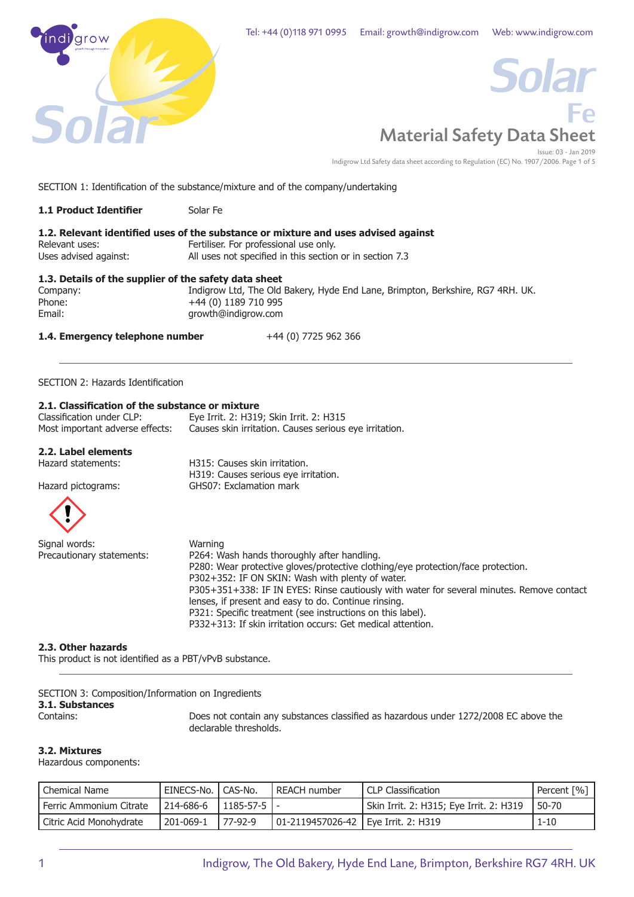



Indigrow Ltd Safety data sheet according to Regulation (EC) No. 1907/2006. Page 1 of 5

SECTION 1: Identification of the substance/mixture and of the company/undertaking

| <b>1.1 Product Identifier</b>                         | Solar Fe                                                                           |
|-------------------------------------------------------|------------------------------------------------------------------------------------|
|                                                       | 1.2. Relevant identified uses of the substance or mixture and uses advised against |
| Relevant uses:                                        | Fertiliser. For professional use only.                                             |
| Uses advised against:                                 | All uses not specified in this section or in section 7.3                           |
| 1.3. Details of the supplier of the safety data sheet |                                                                                    |
| Company:                                              | Indigrow Ltd, The Old Bakery, Hyde End Lane, Brimpton, Berkshire, RG7 4RH          |

Company: Indigrow Ltd, The Old Bakery, Hyde End Lane, Brimpton, Berkshire, RG7 4RH. UK. Phone:  $+44(0)$  1189 710 995<br>Email:  $\qquad \qquad \text{growth@indigrow.com}$ Email: growth@indigrow.com

## **1.4. Emergency telephone number** +44 (0) 7725 962 366

SECTION 2: Hazards Identification

## **2.1. Classification of the substance or mixture**

| Classification under CLP:       | Eye Irrit. 2: H319; Skin Irrit. 2: H315                |
|---------------------------------|--------------------------------------------------------|
| Most important adverse effects: | Causes skin irritation. Causes serious eye irritation. |

# **2.2. Label elements**

H315: Causes skin irritation. H319: Causes serious eye irritation.

Hazard pictograms: GHS07: Exclamation mark



| Signal words:             | Warning                                                                                   |
|---------------------------|-------------------------------------------------------------------------------------------|
| Precautionary statements: | P264: Wash hands thoroughly after handling.                                               |
|                           | P280: Wear protective gloves/protective clothing/eye protection/face protection.          |
|                           | P302+352: IF ON SKIN: Wash with plenty of water.                                          |
|                           | P305+351+338: IF IN EYES: Rinse cautiously with water for several minutes. Remove contact |
|                           | lenses, if present and easy to do. Continue rinsing.                                      |
|                           | P321: Specific treatment (see instructions on this label).                                |
|                           | P332+313: If skin irritation occurs: Get medical attention.                               |

## **2.3. Other hazards**

This product is not identified as a PBT/vPvB substance.

SECTION 3: Composition/Information on Ingredients

# **3.1. Substances**

Does not contain any substances classified as hazardous under 1272/2008 EC above the declarable thresholds.

## **3.2. Mixtures**

Hazardous components:

| Chemical Name           | ' EINECS-No. I CAS-No. |                  | I REACH number                        | LCLP Classification                                  | Percent [%] |
|-------------------------|------------------------|------------------|---------------------------------------|------------------------------------------------------|-------------|
| Ferric Ammonium Citrate | 214-686-6              | $1185 - 57 - 51$ |                                       | <sup>1</sup> Skin Irrit. 2: H315; Eye Irrit. 2: H319 | 50-70       |
| Citric Acid Monohydrate | 201-069-1              | $77-92-9$        | 01-2119457026-42   Eye Irrit. 2: H319 |                                                      | $1 - 10$    |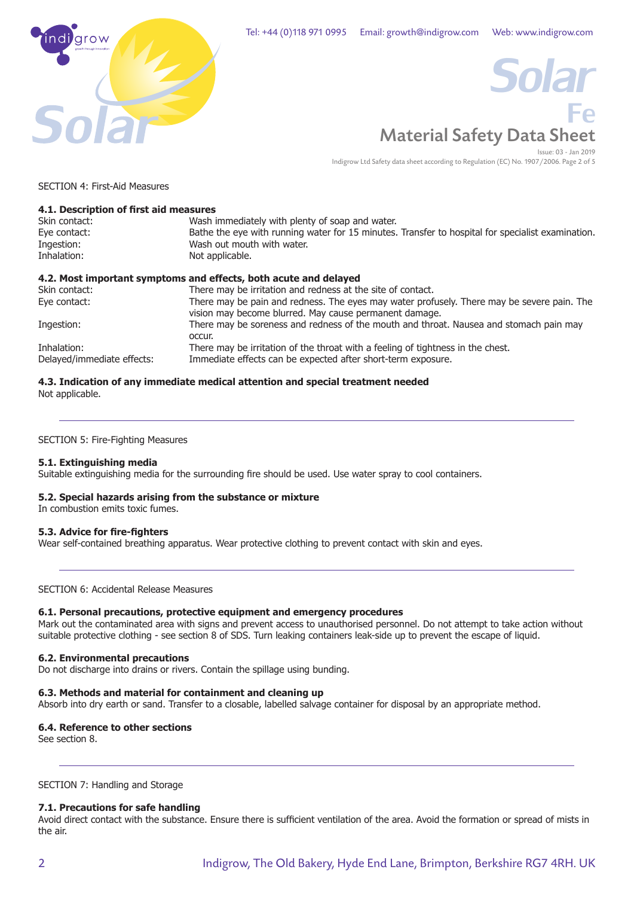



Issue: 03 - Jan 2019 Indigrow Ltd Safety data sheet according to Regulation (EC) No. 1907/2006. Page 2 of 5

SECTION 4: First-Aid Measures

| 4.1. Description of first aid measures |                                                                                                                                                      |
|----------------------------------------|------------------------------------------------------------------------------------------------------------------------------------------------------|
| Skin contact:                          | Wash immediately with plenty of soap and water.                                                                                                      |
| Eye contact:                           | Bathe the eye with running water for 15 minutes. Transfer to hospital for specialist examination.                                                    |
| Ingestion:                             | Wash out mouth with water.                                                                                                                           |
| Inhalation:                            | Not applicable.                                                                                                                                      |
|                                        | 4.2. Most important symptoms and effects, both acute and delayed                                                                                     |
| Skin contact:                          | There may be irritation and redness at the site of contact.                                                                                          |
| Eye contact:                           | There may be pain and redness. The eyes may water profusely. There may be severe pain. The<br>vision may become blurred. May cause permanent damage. |
| Ingestion:                             | There may be soreness and redness of the mouth and throat. Nausea and stomach pain may<br>occur.                                                     |
| Inhalation:                            | There may be irritation of the throat with a feeling of tightness in the chest.                                                                      |
| Delayed/immediate effects:             | Immediate effects can be expected after short-term exposure.                                                                                         |

#### **4.3. Indication of any immediate medical attention and special treatment needed** Not applicable.

SECTION 5: Fire-Fighting Measures

## **5.1. Extinguishing media**

Suitable extinguishing media for the surrounding fire should be used. Use water spray to cool containers.

## **5.2. Special hazards arising from the substance or mixture**

In combustion emits toxic fumes.

## **5.3. Advice for fire-fighters**

Wear self-contained breathing apparatus. Wear protective clothing to prevent contact with skin and eyes.

SECTION 6: Accidental Release Measures

## **6.1. Personal precautions, protective equipment and emergency procedures**

Mark out the contaminated area with signs and prevent access to unauthorised personnel. Do not attempt to take action without suitable protective clothing - see section 8 of SDS. Turn leaking containers leak-side up to prevent the escape of liquid.

## **6.2. Environmental precautions**

Do not discharge into drains or rivers. Contain the spillage using bunding.

## **6.3. Methods and material for containment and cleaning up**

Absorb into dry earth or sand. Transfer to a closable, labelled salvage container for disposal by an appropriate method.

## **6.4. Reference to other sections**

See section 8.

SECTION 7: Handling and Storage

## **7.1. Precautions for safe handling**

Avoid direct contact with the substance. Ensure there is sufficient ventilation of the area. Avoid the formation or spread of mists in the air.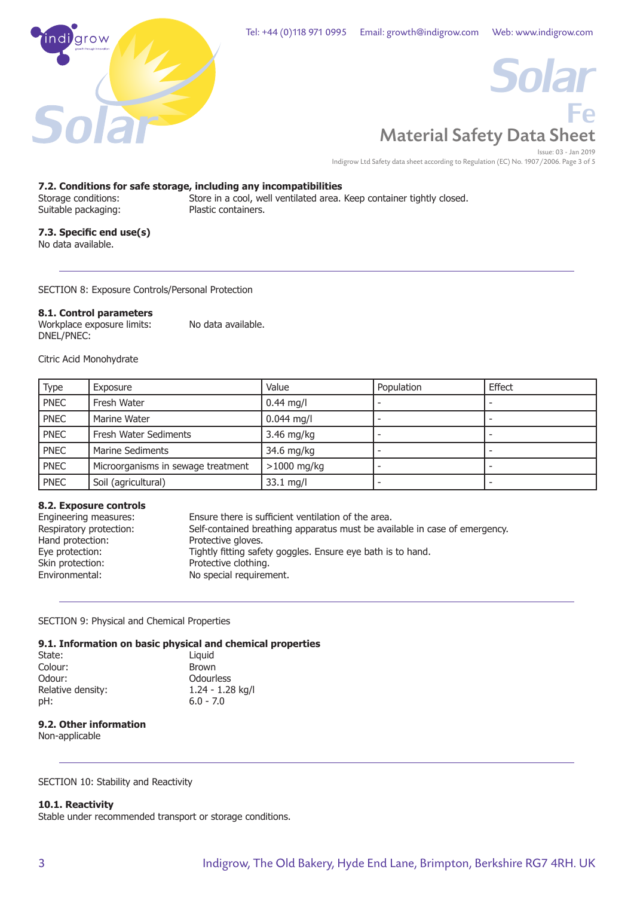



Indigrow Ltd Safety data sheet according to Regulation (EC) No. 1907/2006. Page 3 of 5

# **7.2. Conditions for safe storage, including any incompatibilities**

Store in a cool, well ventilated area. Keep container tightly closed. Suitable packaging: Plastic containers.

## **7.3. Specific end use(s)**

No data available.

SECTION 8: Exposure Controls/Personal Protection

## **8.1. Control parameters**

Workplace exposure limits: No data available. DNEL/PNEC:

Citric Acid Monohydrate

| <b>Type</b> | Exposure                           | Value               | Population | Effect |
|-------------|------------------------------------|---------------------|------------|--------|
| <b>PNEC</b> | Fresh Water                        | $0.44$ mg/l         |            |        |
| <b>PNEC</b> | Marine Water                       | $0.044$ mg/l        |            |        |
| <b>PNEC</b> | Fresh Water Sediments              | $3.46$ mg/kg        |            |        |
| <b>PNEC</b> | <b>Marine Sediments</b>            | 34.6 mg/kg          |            |        |
| <b>PNEC</b> | Microorganisms in sewage treatment | $>1000$ mg/kg       |            |        |
| <b>PNEC</b> | Soil (agricultural)                | $33.1 \text{ mg/l}$ |            |        |

## **8.2. Exposure controls**

| Engineering measures:   | Ensure there is sufficient ventilation of the area.                        |
|-------------------------|----------------------------------------------------------------------------|
| Respiratory protection: | Self-contained breathing apparatus must be available in case of emergency. |
| Hand protection:        | Protective gloves.                                                         |
| Eye protection:         | Tightly fitting safety goggles. Ensure eye bath is to hand.                |
| Skin protection:        | Protective clothing.                                                       |
| Environmental:          | No special requirement.                                                    |

## SECTION 9: Physical and Chemical Properties

## **9.1. Information on basic physical and chemical properties**

| State:            | Liguid             |
|-------------------|--------------------|
| Colour:           | <b>Brown</b>       |
| Odour:            | Odourless          |
| Relative density: | $1.24 - 1.28$ kg/l |
| pH:               | $6.0 - 7.0$        |
|                   |                    |

## **9.2. Other information**

Non-applicable

SECTION 10: Stability and Reactivity

## **10.1. Reactivity**

Stable under recommended transport or storage conditions.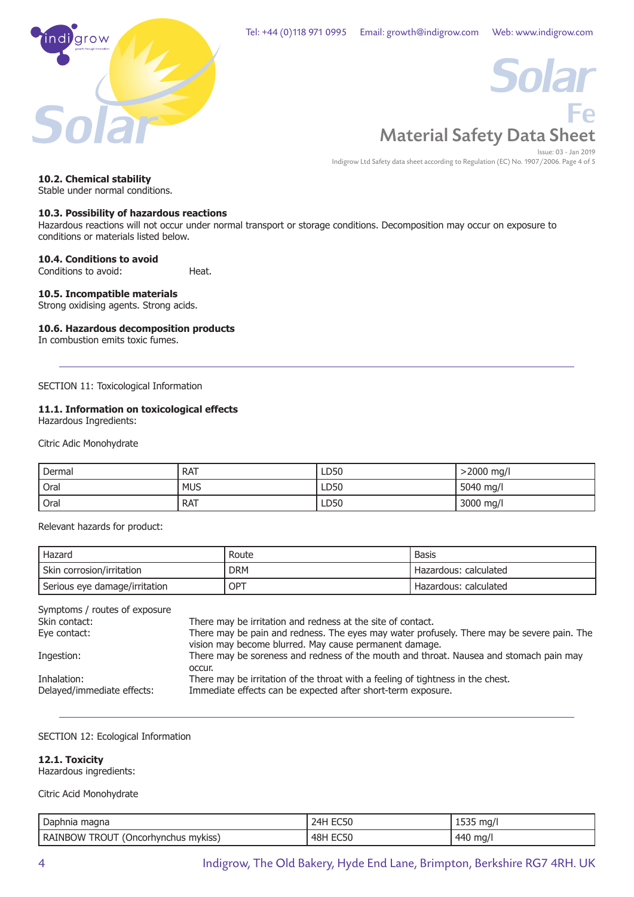



Indigrow Ltd Safety data sheet according to Regulation (EC) No. 1907/2006. Page 4 of 5

## **10.2. Chemical stability**

Stable under normal conditions.

## **10.3. Possibility of hazardous reactions**

Hazardous reactions will not occur under normal transport or storage conditions. Decomposition may occur on exposure to conditions or materials listed below.

#### **10.4. Conditions to avoid**

Conditions to avoid: Heat.

## **10.5. Incompatible materials**

Strong oxidising agents. Strong acids.

## **10.6. Hazardous decomposition products**

In combustion emits toxic fumes.

SECTION 11: Toxicological Information

## **11.1. Information on toxicological effects**

Hazardous Ingredients:

Citric Adic Monohydrate

| Dermal | <b>RAT</b> | LD50 | $>2000$ mg/l |
|--------|------------|------|--------------|
| Oral   | <b>MUS</b> | LD50 | 5040 mg/l    |
| Oral   | <b>RAT</b> | LD50 | 3000 mg/l    |

Relevant hazards for product:

| Hazard                        | Route      | Basis                   |
|-------------------------------|------------|-------------------------|
| Skin corrosion/irritation     | <b>DRM</b> | ' Hazardous: calculated |
| Serious eye damage/irritation | OPT        | ' Hazardous: calculated |

| Symptoms / routes of exposure             |                                                                                                                                                      |
|-------------------------------------------|------------------------------------------------------------------------------------------------------------------------------------------------------|
| Skin contact:                             | There may be irritation and redness at the site of contact.                                                                                          |
| Eye contact:                              | There may be pain and redness. The eyes may water profusely. There may be severe pain. The<br>vision may become blurred. May cause permanent damage. |
| Ingestion:                                | There may be soreness and redness of the mouth and throat. Nausea and stomach pain may<br>occur.                                                     |
| Inhalation:<br>Delayed/immediate effects: | There may be irritation of the throat with a feeling of tightness in the chest.<br>Immediate effects can be expected after short-term exposure.      |
|                                           |                                                                                                                                                      |

#### SECTION 12: Ecological Information

#### **12.1. Toxicity**

Hazardous ingredients:

Citric Acid Monohydrate

| Daphnia magna                                   |             | ma/<br>. |
|-------------------------------------------------|-------------|----------|
| JOW TROUT<br>RAINBO<br>(Oncorhvnchus<br>mykiss) | 48H<br>ECSU | 440 mg/  |